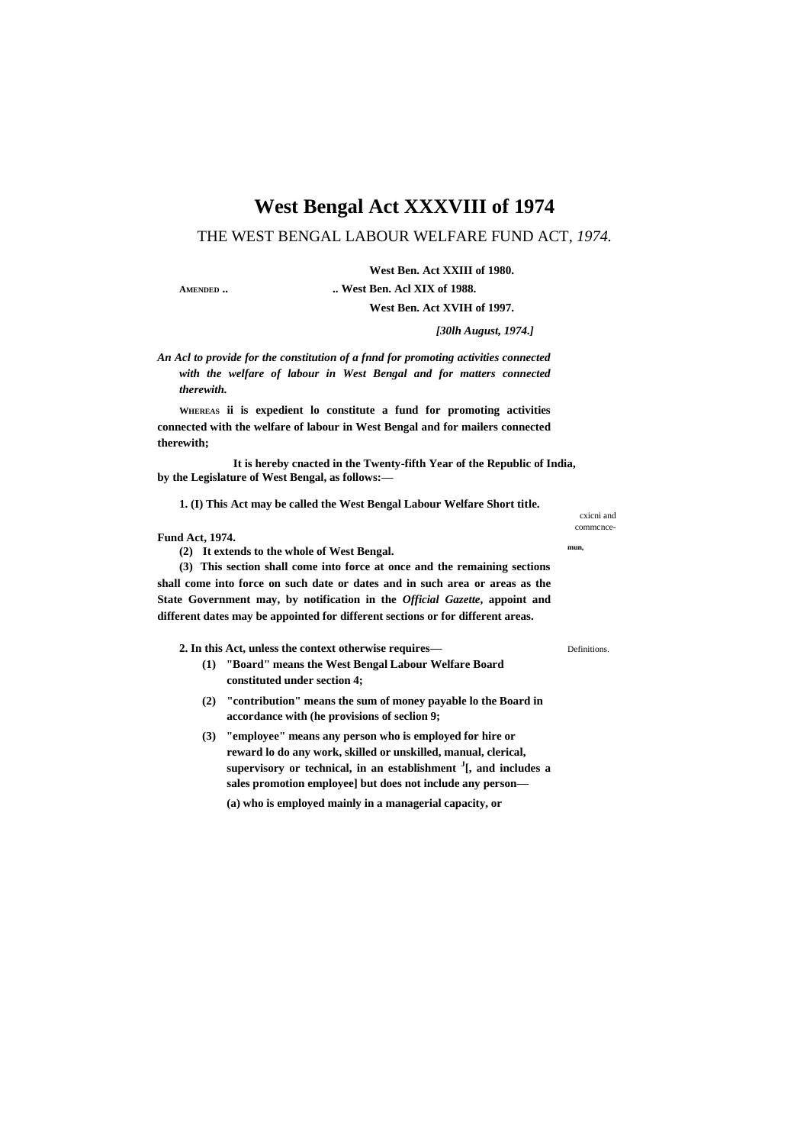## **West Bengal Act XXXVIII of 1974**

### THE WEST BENGAL LABOUR WELFARE FUND ACT, *1974.*

**West Ben. Act XXIII of 1980.**

**AMENDED .. .. West Ben. Acl XIX of 1988.**

**West Ben. Act XVIH of 1997.**

*[30lh August, 1974.]*

*An Acl to provide for the constitution of a fnnd for promoting activities connected with the welfare of labour in West Bengal and for matters connected therewith.*

**WHEREAS ii is expedient lo constitute a fund for promoting activities connected with the welfare of labour in West Bengal and for mailers connected therewith;**

**It is hereby cnacted in the Twenty-fifth Year of the Republic of India, by the Legislature of West Bengal, as follows:—**

**1. (I) This Act may be called the West Bengal Labour Welfare Short title.**

#### **Fund Act, 1974.**

**(2) It extends to the whole of West Bengal. mun,**

**(3) This section shall come into force at once and the remaining sections shall come into force on such date or dates and in such area or areas as the State Government may, by notification in the** *Official Gazette***, appoint and different dates may be appointed for different sections or for different areas.**

**2. In this Act, unless the context otherwise requires—** Definitions.

- **(1) "Board" means the West Bengal Labour Welfare Board constituted under section 4;**
- **(2) "contribution" means the sum of money payable lo the Board in accordance with (he provisions of seclion 9;**
- **(3) "employee" means any person who is employed for hire or reward lo do any work, skilled or unskilled, manual, clerical, supervisory or technical, in an establishment <sup>J</sup> [, and includes a sales promotion employee] but does not include any person— (a) who is employed mainly in a managerial capacity, or**

cxicni and commcnce-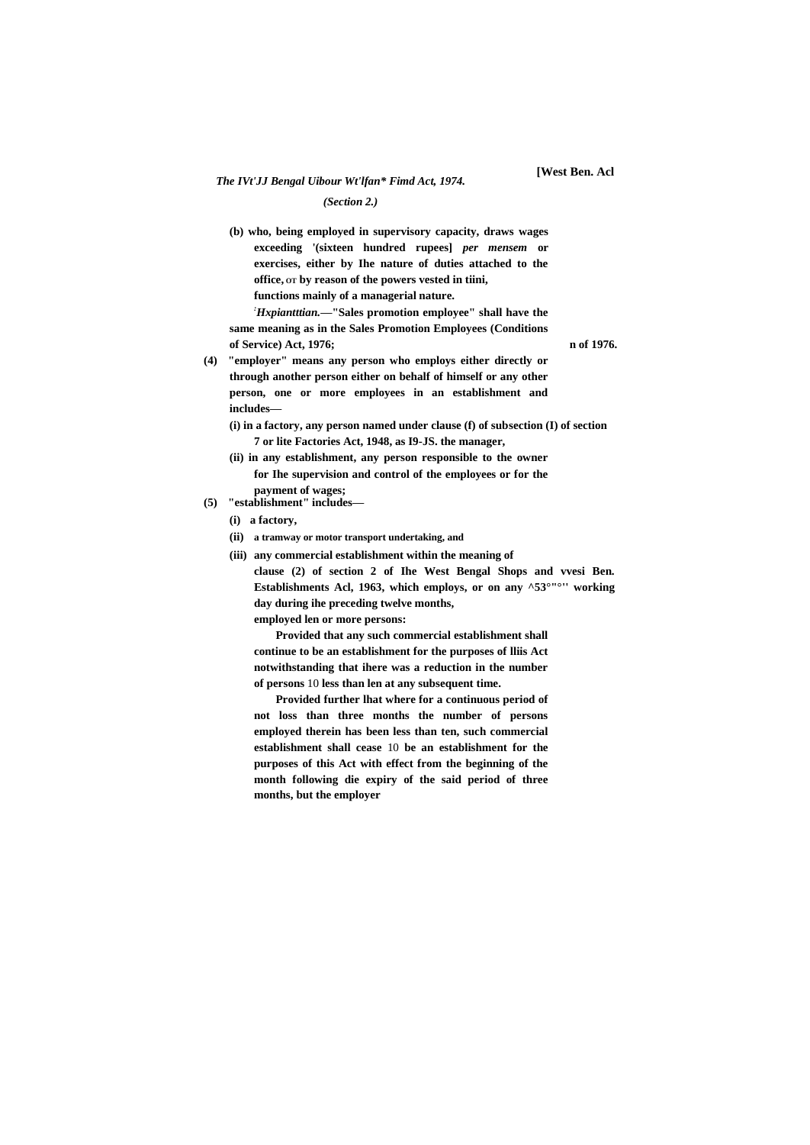#### *(Section 2.)*

**(b) who, being employed in supervisory capacity, draws wages exceeding '(sixteen hundred rupees]** *per mensem* **or exercises, either by Ihe nature of duties attached to the office, OT by reason of the powers vested in tiini, functions mainly of a managerial nature.**

*:Hxpiantttian.***—"Sales promotion employee" shall have the same meaning as in the Sales Promotion Employees (Conditions of Service) Act, 1976; n of 1976.**

- **(4) "employer" means any person who employs either directly or through another person either on behalf of himself or any other person, one or more employees in an establishment and includes—**
	- **(i) in a factory, any person named under clause (f) of subsection (I) of section 7 or lite Factories Act, 1948, as I9-JS. the manager,**
	- **(ii) in any establishment, any person responsible to the owner for Ihe supervision and control of the employees or for the payment of wages;**
- **(5) "establishment" includes—**
	- **(i) a factory,**
	- **(ii) a tramway or motor transport undertaking, and**
	- **(iii) any commercial establishment within the meaning of clause (2) of section 2 of Ihe West Bengal Shops and vvesi Ben. Establishments Acl, 1963, which employs, or on any ^53°"°'' working day during ihe preceding twelve months, employed len or more persons:**

**Provided that any such commercial establishment shall continue to be an establishment for the purposes of lliis Act notwithstanding that ihere was a reduction in the number** 

**of persons** 10 **less than len at any subsequent time.**

**Provided further lhat where for a continuous period of not loss than three months the number of persons employed therein has been less than ten, such commercial establishment shall cease** 10 **be an establishment for the purposes of this Act with effect from the beginning of the month following die expiry of the said period of three months, but the employer**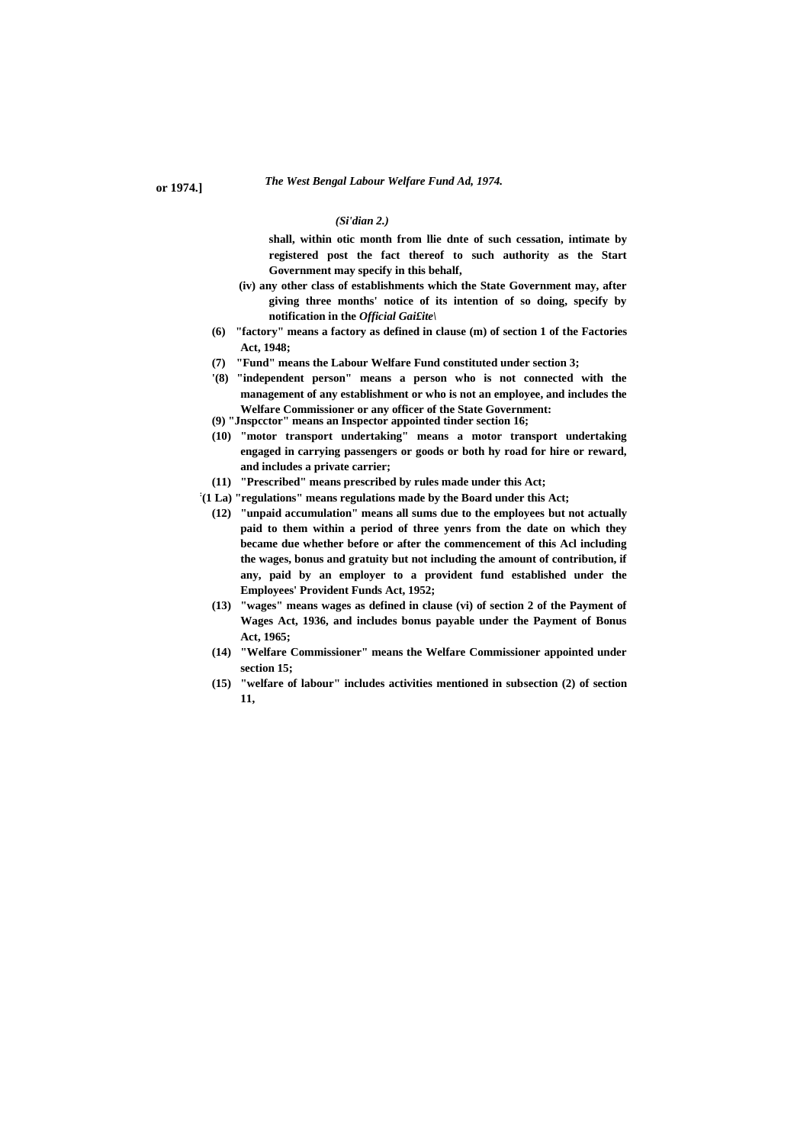## *The West Bengal Labour Welfare Fund Ad, 1974.* **or 1974.]**

#### *(Si'dian 2.)*

**shall, within otic month from llie dnte of such cessation, intimate by registered post the fact thereof to such authority as the Start Government may specify in this behalf,**

- **(iv) any other class of establishments which the State Government may, after giving three months' notice of its intention of so doing, specify by notification in the** *Official Gai£ite\*
- **(6) "factory" means a factory as defined in clause (m) of section 1 of the Factories Act, 1948;**
- **(7) "Fund" means the Labour Welfare Fund constituted under section 3;**
- **'(8) "independent person" means a person who is not connected with the management of any establishment or who is not an employee, and includes the Welfare Commissioner or any officer of the State Government:**
- **(9) "Jnspcctor" means an Inspector appointed tinder section 16;**
- **(10) "motor transport undertaking" means a motor transport undertaking engaged in carrying passengers or goods or both hy road for hire or reward, and includes a private carrier;**
- **(11) "Prescribed" means prescribed by rules made under this Act;**
- **: (1 La) "regulations" means regulations made by the Board under this Act;**
	- **(12) "unpaid accumulation" means all sums due to the employees but not actually paid to them within a period of three yenrs from the date on which they became due whether before or after the commencement of this Acl including the wages, bonus and gratuity but not including the amount of contribution, if any, paid by an employer to a provident fund established under the Employees' Provident Funds Act, 1952;**
	- **(13) "wages" means wages as defined in clause (vi) of section 2 of the Payment of Wages Act, 1936, and includes bonus payable under the Payment of Bonus Act, 1965;**
	- **(14) "Welfare Commissioner" means the Welfare Commissioner appointed under section 15;**
	- **(15) "welfare of labour" includes activities mentioned in subsection (2) of section 11,**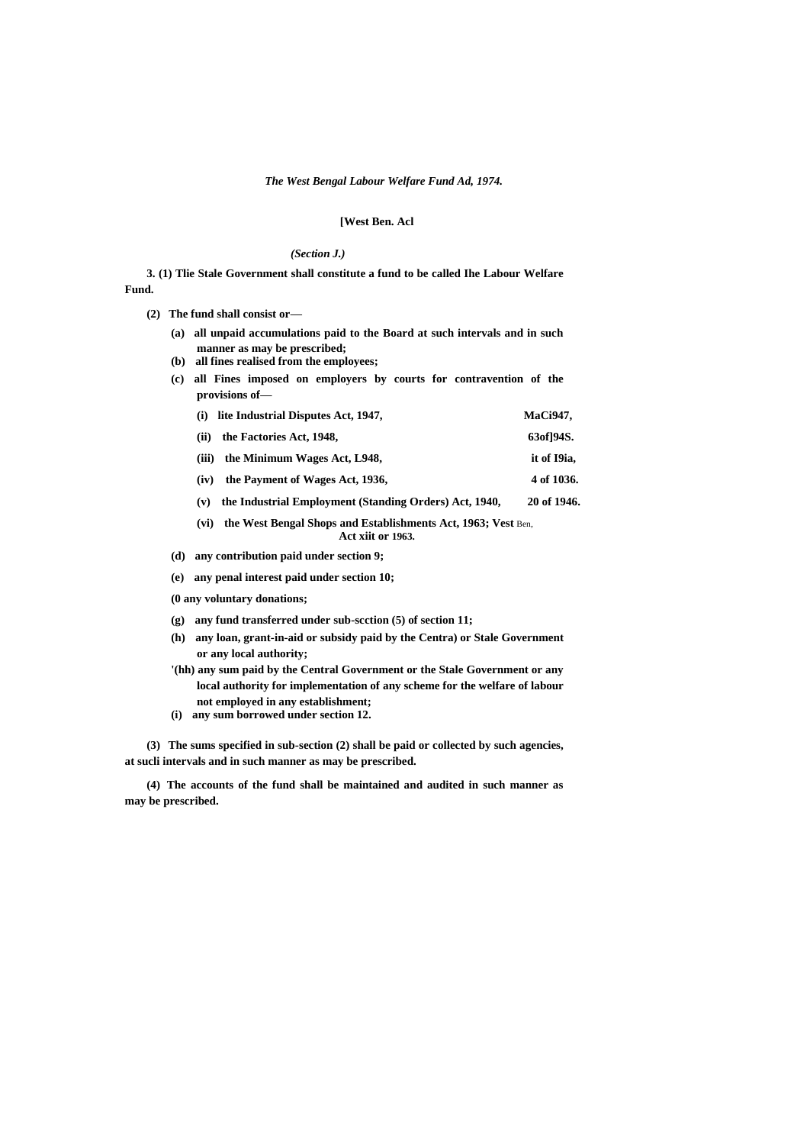#### *The West Bengal Labour Welfare Fund Ad, 1974.*

#### **[West Ben. Acl**

#### *(Section J.)*

**3. (1) Tlie Stale Government shall constitute a fund to be called Ihe Labour Welfare Fund.**

**(2) The fund shall consist or—**

- **(a) all unpaid accumulations paid to the Board at such intervals and in such manner as may be prescribed;**
- **(b) all fines realised from the employees;**
- **(c) all Fines imposed on employers by courts for contravention of the provisions of—**
	- **(i) lite Industrial Disputes Act, 1947, MaCi947,**
	- **(ii) the Factories Act, 1948, 63of]94S.**
	- **(iii) the Minimum Wages Act, L948, it of I9ia,**
	- **(iv) the Payment of Wages Act, 1936, 4 of 1036.**
	- **(v) the Industrial Employment (Standing Orders) Act, 1940, 20 of 1946.**
	- **(vi) the West Bengal Shops and Establishments Act, 1963; Vest** Ben, **Act xiit or 1963.**

**(d) any contribution paid under section 9;**

- **(e) any penal interest paid under section 10;**
- **(0 any voluntary donations;**
- **(g) any fund transferred under sub-scction (5) of section 11;**
- **(h) any loan, grant-in-aid or subsidy paid by the Centra) or Stale Government or any local authority;**
- **'(hh) any sum paid by the Central Government or the Stale Government or any local authority for implementation of any scheme for the welfare of labour not employed in any establishment;**
- **(i) any sum borrowed under section 12.**

**(3) The sums specified in sub-section (2) shall be paid or collected by such agencies, at sucli intervals and in such manner as may be prescribed.**

**(4) The accounts of the fund shall be maintained and audited in such manner as may be prescribed.**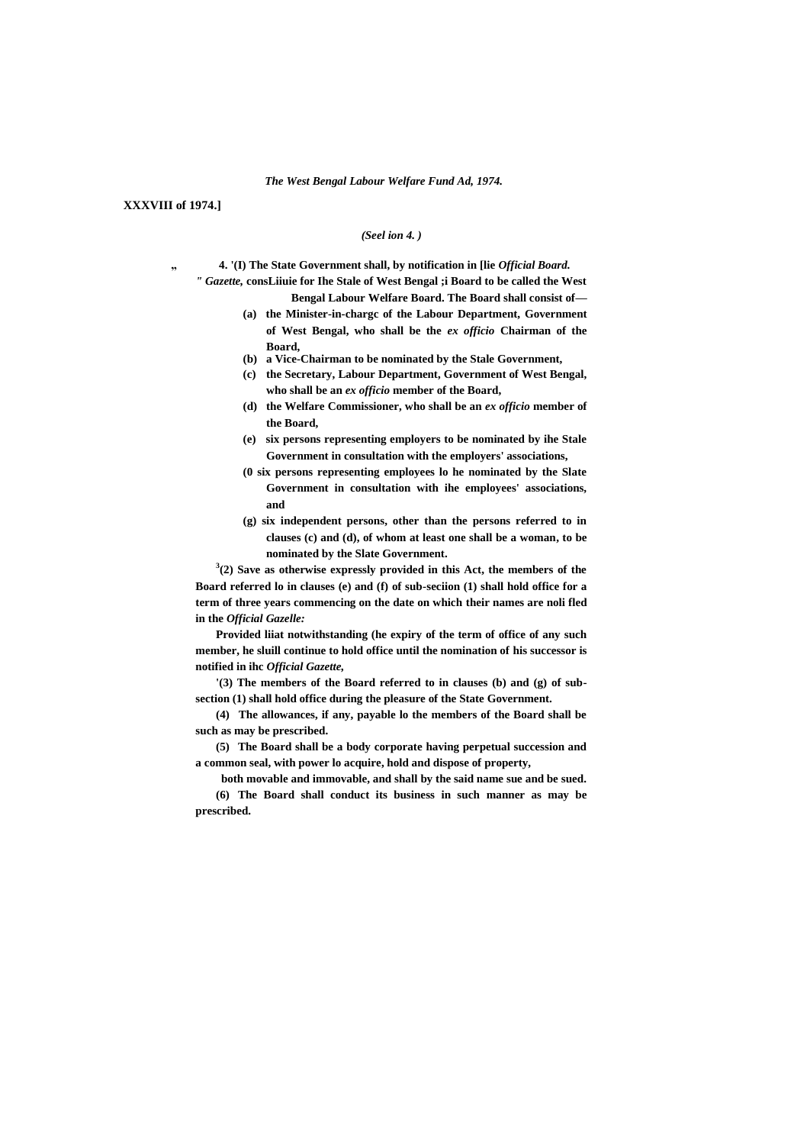#### *The West Bengal Labour Welfare Fund Ad, 1974.*

**XXXVIII of 1974.]**

#### *(Seel ion 4. )*

- **" 4. '(I) The State Government shall, by notification in [lie** *Official Board.*
	- *" Gazette,* **consLiiuie for Ihe Stale of West Bengal ;i Board to be called the West Bengal Labour Welfare Board. The Board shall consist of—**
		- **(a) the Minister-in-chargc of the Labour Department, Government of West Bengal, who shall be the** *ex officio* **Chairman of the Board,**
		- **(b) a Vice-Chairman to be nominated by the Stale Government,**
		- **(c) the Secretary, Labour Department, Government of West Bengal, who shall be an** *ex officio* **member of the Board,**
		- **(d) the Welfare Commissioner, who shall be an** *ex officio* **member of the Board,**
		- **(e) six persons representing employers to be nominated by ihe Stale Government in consultation with the employers' associations,**
		- **(0 six persons representing employees lo he nominated by the Slate Government in consultation with ihe employees' associations, and**
		- **(g) six independent persons, other than the persons referred to in clauses (c) and (d), of whom at least one shall be a woman, to be nominated by the Slate Government.**

**3 (2) Save as otherwise expressly provided in this Act, the members of the Board referred lo in clauses (e) and (f) of sub-seciion (1) shall hold office for a term of three years commencing on the date on which their names are noli fled in the** *Official Gazelle:*

**Provided liiat notwithstanding (he expiry of the term of office of any such member, he sluill continue to hold office until the nomination of his successor is notified in ihc** *Official Gazette,*

**'(3) The members of the Board referred to in clauses (b) and (g) of subsection (1) shall hold office during the pleasure of the State Government.**

**(4) The allowances, if any, payable lo the members of the Board shall be such as may be prescribed.**

**(5) The Board shall be a body corporate having perpetual succession and a common seal, with power lo acquire, hold and dispose of property,**

**both movable and immovable, and shall by the said name sue and be sued. (6) The Board shall conduct its business in such manner as may be prescribed.**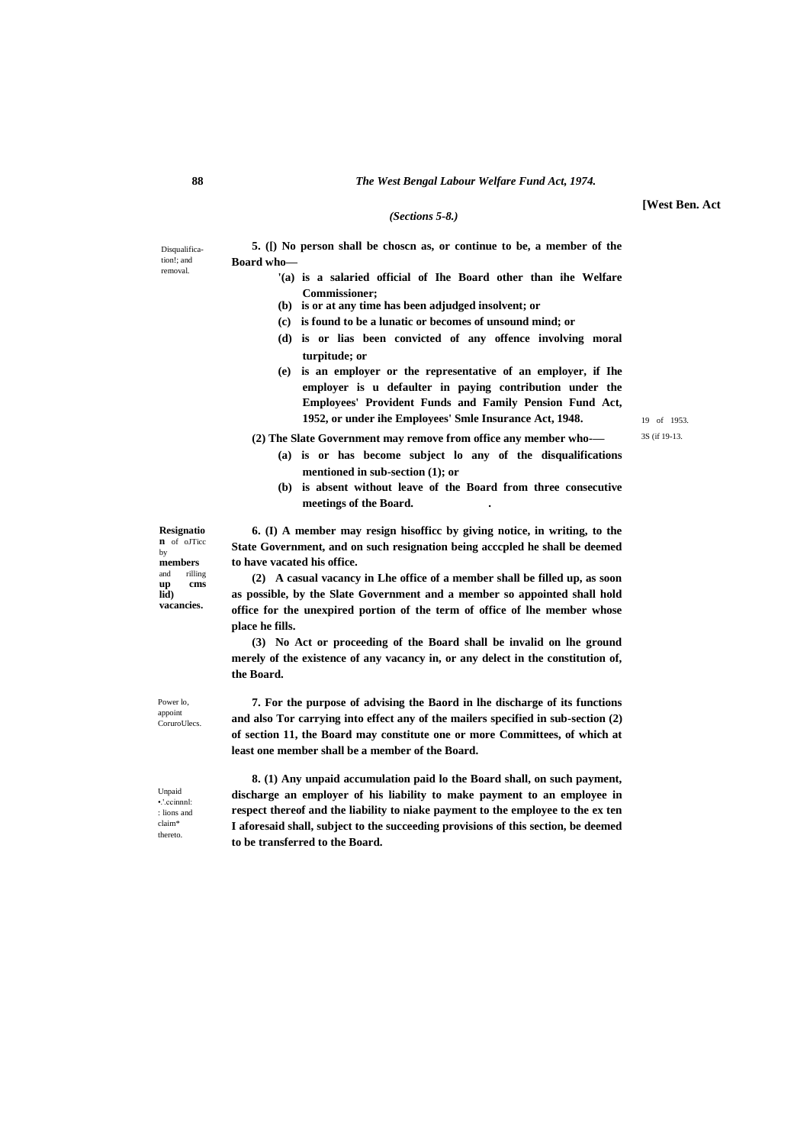#### *(Sections 5-8.)*

Disqualification!; and removal.

**5. ([) No person shall be choscn as, or continue to be, a member of the Board who—**

- **'(a) is a salaried official of Ihe Board other than ihe Welfare Commissioner;**
	- **(b) is or at any time has been adjudged insolvent; or**
	- **(c) is found to be a lunatic or becomes of unsound mind; or**
	- **(d) is or lias been convicted of any offence involving moral turpitude; or**
	- **(e) is an employer or the representative of an employer, if Ihe employer is u defaulter in paying contribution under the Employees' Provident Funds and Family Pension Fund Act, 1952, or under ihe Employees' Smle Insurance Act, 1948.**

3S (if 19-13.

- **(2) The Slate Government may remove from office any member who-— (a) is or has become subject lo any of the disqualifications mentioned in sub-section (1); or**
	- **(b) is absent without leave of the Board from three consecutive meetings of the Board. .**

**Resignatio n** of oJTicc by **members**  and rilling<br>up cms **up cms lid) vacancies.**

**6. (I) A member may resign hisofficc by giving notice, in writing, to the State Government, and on such resignation being acccpled he shall be deemed to have vacated his office.**

**(2) A casual vacancy in Lhe office of a member shall be filled up, as soon as possible, by the Slate Government and a member so appointed shall hold office for the unexpired portion of the term of office of lhe member whose place he fills.**

**(3) No Act or proceeding of the Board shall be invalid on lhe ground merely of the existence of any vacancy in, or any delect in the constitution of, the Board.**

**7. For the purpose of advising the Baord in lhe discharge of its functions and also Tor carrying into effect any of the mailers specified in sub-section (2) of section 11, the Board may constitute one or more Committees, of which at least one member shall be a member of the Board.**

**8. (1) Any unpaid accumulation paid lo the Board shall, on such payment, discharge an employer of his liability to make payment to an employee in respect thereof and the liability to niake payment to the employee to the ex ten I aforesaid shall, subject to the succeeding provisions of this section, be deemed to be transferred to the Board.**

Power lo, appoint **CoruroUlecs** 

Unpaid •.'.ccinnnl: : lions and claim\* thereto.

# 19 of 1953.

**[West Ben. Act**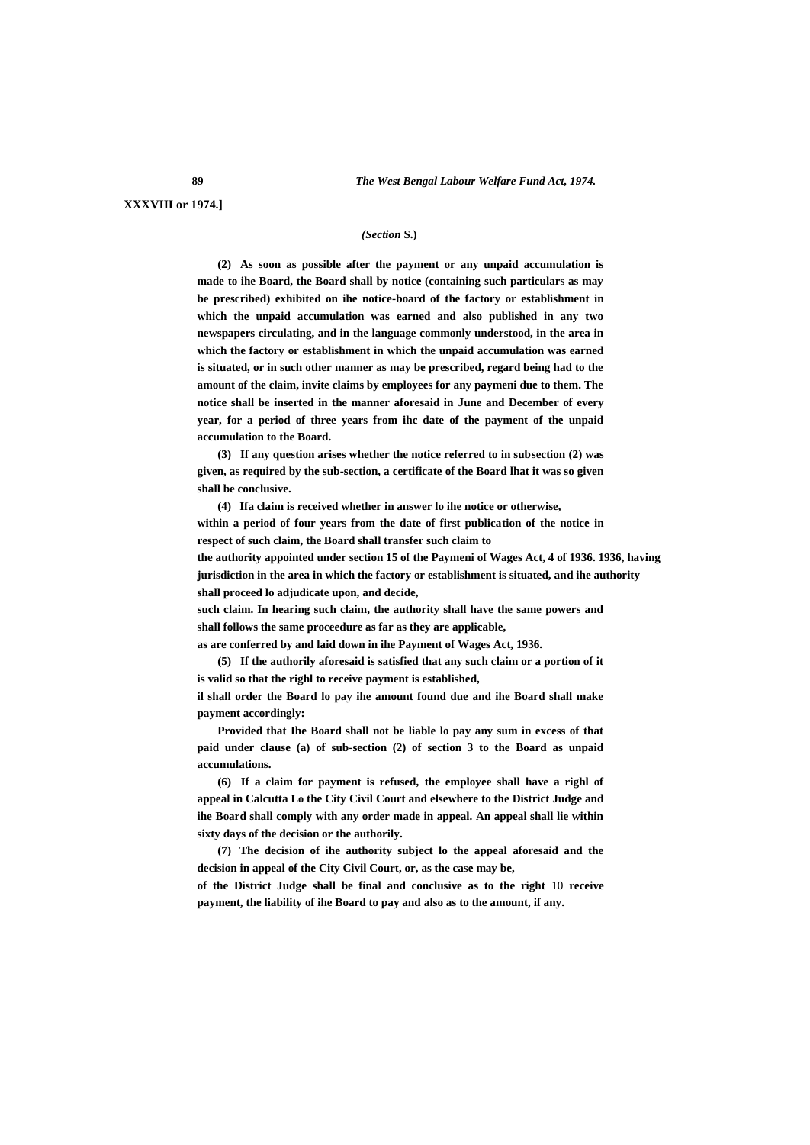**XXXVIII or 1974.]**

#### *(Section* **S.)**

**(2) As soon as possible after the payment or any unpaid accumulation is made to ihe Board, the Board shall by notice (containing such particulars as may be prescribed) exhibited on ihe notice-board of the factory or establishment in which the unpaid accumulation was earned and also published in any two newspapers circulating, and in the language commonly understood, in the area in which the factory or establishment in which the unpaid accumulation was earned is situated, or in such other manner as may be prescribed, regard being had to the amount of the claim, invite claims by employees for any paymeni due to them. The notice shall be inserted in the manner aforesaid in June and December of every year, for a period of three years from ihc date of the payment of the unpaid accumulation to the Board.**

**(3) If any question arises whether the notice referred to in subsection (2) was given, as required by the sub-section, a certificate of the Board lhat it was so given shall be conclusive.**

**(4) Ifa claim is received whether in answer lo ihe notice or otherwise, within a period of four years from the date of first publication of the notice in respect of such claim, the Board shall transfer such claim to**

**the authority appointed under section 15 of the Paymeni of Wages Act, 4 of 1936. 1936, having jurisdiction in the area in which the factory or establishment is situated, and ihe authority shall proceed lo adjudicate upon, and decide,**

**such claim. In hearing such claim, the authority shall have the same powers and shall follows the same proceedure as far as they are applicable,**

**as are conferred by and laid down in ihe Payment of Wages Act, 1936.**

**(5) If the authorily aforesaid is satisfied that any such claim or a portion of it is valid so that the righl to receive payment is established,**

**il shall order the Board lo pay ihe amount found due and ihe Board shall make payment accordingly:**

**Provided that Ihe Board shall not be liable lo pay any sum in excess of that paid under clause (a) of sub-section (2) of section 3 to the Board as unpaid accumulations.**

**(6) If a claim for payment is refused, the employee shall have a righl of appeal in Calcutta Lo the City Civil Court and elsewhere to the District Judge and ihe Board shall comply with any order made in appeal. An appeal shall lie within sixty days of the decision or the authorily.**

**(7) The decision of ihe authority subject lo the appeal aforesaid and the decision in appeal of the City Civil Court, or, as the case may be,**

**of the District Judge shall be final and conclusive as to the right** 10 **receive payment, the liability of ihe Board to pay and also as to the amount, if any.**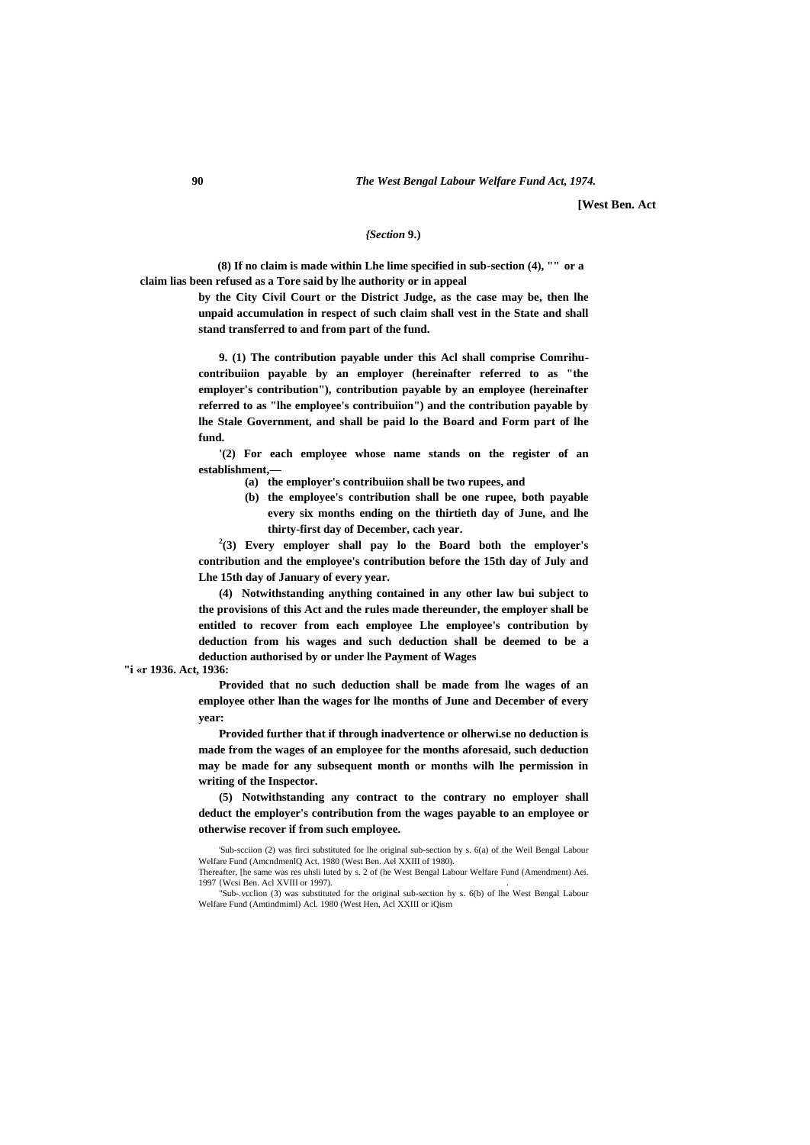**[West Ben. Act**

#### *{Section* **9.)**

**(8) If no claim is made within Lhe lime specified in sub-section (4), "" or a claim lias been refused as a Tore said by lhe authority or in appeal**

> **by the City Civil Court or the District Judge, as the case may be, then lhe unpaid accumulation in respect of such claim shall vest in the State and shall stand transferred to and from part of the fund.**

> **9. (1) The contribution payable under this Acl shall comprise Comrihucontribuiion payable by an employer (hereinafter referred to as "the employer's contribution"), contribution payable by an employee (hereinafter referred to as "lhe employee's contribuiion") and the contribution payable by lhe Stale Government, and shall be paid lo the Board and Form part of lhe fund.**

> **'(2) For each employee whose name stands on the register of an establishment,—**

- **(a) the employer's contribuiion shall be two rupees, and**
- **(b) the employee's contribution shall be one rupee, both payable every six months ending on the thirtieth day of June, and lhe thirty-first day of December, cach year.**

**2 (3) Every employer shall pay lo the Board both the employer's contribution and the employee's contribution before the 15th day of July and Lhe 15th day of January of every year.**

**(4) Notwithstanding anything contained in any other law bui subject to the provisions of this Act and the rules made thereunder, the employer shall be entitled to recover from each employee Lhe employee's contribution by deduction from his wages and such deduction shall be deemed to be a deduction authorised by or under lhe Payment of Wages**

**"i «r 1936. Act, 1936:**

**Provided that no such deduction shall be made from lhe wages of an employee other lhan the wages for lhe months of June and December of every year:**

**Provided further that if through inadvertence or olherwi.se no deduction is made from the wages of an employee for the months aforesaid, such deduction may be made for any subsequent month or months wilh lhe permission in writing of the Inspector.**

**(5) Notwithstanding any contract to the contrary no employer shall deduct the employer's contribution from the wages payable to an employee or otherwise recover if from such employee.**

<sup>&#</sup>x27;Sub-scciion (2) was firci substituted for lhe original sub-section by s. 6(a) of the Weil Bengal Labour Welfare Fund (AmcndmenlQ Act. 1980 (West Ben. Ael XXIII of 1980). Thereafter, [he same was res uhsli luted by s. 2 of (he West Bengal Labour Welfare Fund (Amendment) Aei.

<sup>1997 {</sup>Wcsi Ben. Acl XVIII or 1997). .

<sup>&</sup>quot;Sub-.vcclion (3) was substituted for the original sub-section hy s. 6(b) of lhe West Bengal Labour Welfare Fund (Amtindmiml) Acl. 1980 (West Hen, Acl XXIII or iQism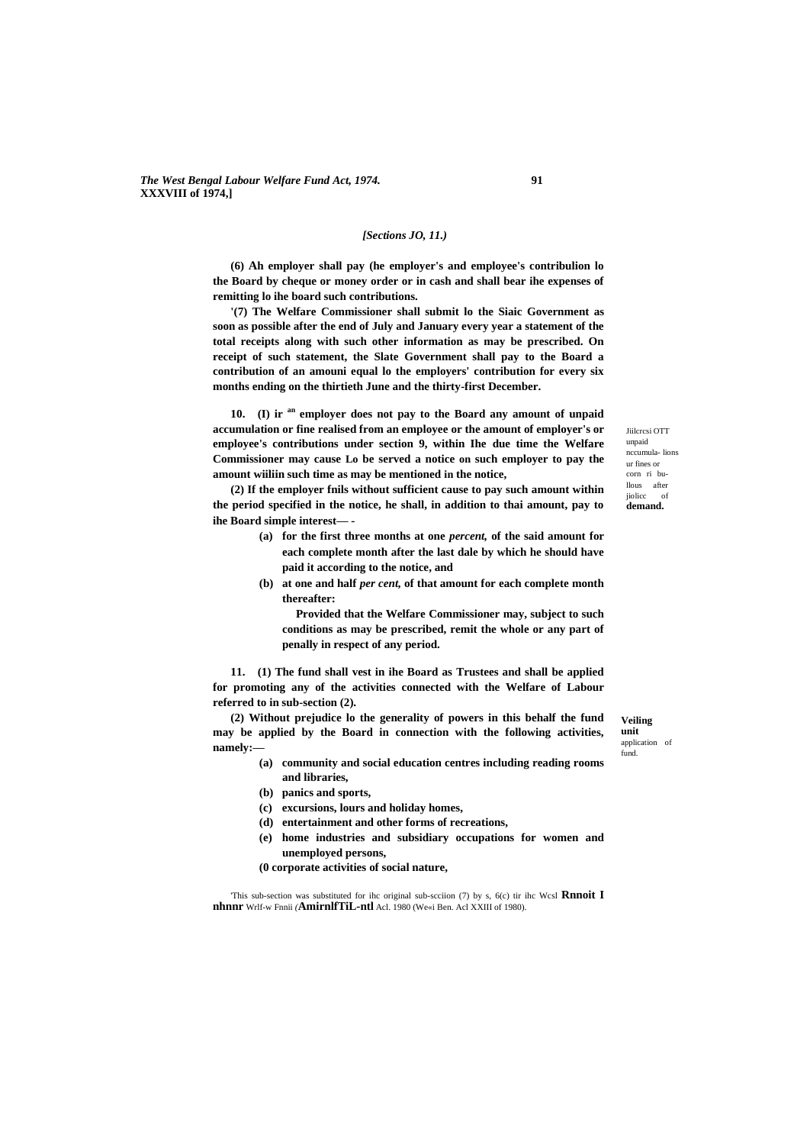*The West Bengal Labour Welfare Fund Act, 1974.* **91 XXXVIII of 1974,]**

#### *[Sections JO, 11.)*

**(6) Ah employer shall pay (he employer's and employee's contribulion lo the Board by cheque or money order or in cash and shall bear ihe expenses of remitting lo ihe board such contributions.**

**'(7) The Welfare Commissioner shall submit lo the Siaic Government as soon as possible after the end of July and January every year a statement of the total receipts along with such other information as may be prescribed. On receipt of such statement, the Slate Government shall pay to the Board a contribution of an amouni equal lo the employers' contribution for every six months ending on the thirtieth June and the thirty-first December.**

**10. (I) ir an employer does not pay to the Board any amount of unpaid accumulation or fine realised from an employee or the amount of employer's or employee's contributions under section 9, within Ihe due time the Welfare Commissioner may cause Lo be served a notice on such employer to pay the amount wiiliin such time as may be mentioned in the notice,**

**(2) If the employer fnils without sufficient cause to pay such amount within the period specified in the notice, he shall, in addition to thai amount, pay to ihe Board simple interest— -**

- **(a) for the first three months at one** *percent,* **of the said amount for each complete month after the last dale by which he should have paid it according to the notice, and**
- **(b) at one and half** *per cent,* **of that amount for each complete month thereafter:**

**Provided that the Welfare Commissioner may, subject to such conditions as may be prescribed, remit the whole or any part of penally in respect of any period.**

**11. (1) The fund shall vest in ihe Board as Trustees and shall be applied for promoting any of the activities connected with the Welfare of Labour referred to in sub-section (2).**

**(2) Without prejudice lo the generality of powers in this behalf the fund may be applied by the Board in connection with the following activities, namely:—**

- **(a) community and social education centres including reading rooms and libraries,**
- **(b) panics and sports,**
- **(c) excursions, lours and holiday homes,**
- **(d) entertainment and other forms of recreations,**
- **(e) home industries and subsidiary occupations for women and unemployed persons,**
- **(0 corporate activities of social nature,**

'This sub-section was substituted for ihc original sub-scciion (7) by s, 6(c) tir ihc Wcsl **Rnnoit I nhnnr** Wrlf-w Fnnii *(***AmirnlfTiL-ntl** Acl. 1980 (We«i Ben. Acl XXIII of 1980).

**Veiling unit**  application of fund.

Jiilcrcsi OTT unpaid nccumula- lions ur fines or corn ri bullous after jiolicc of **demand.**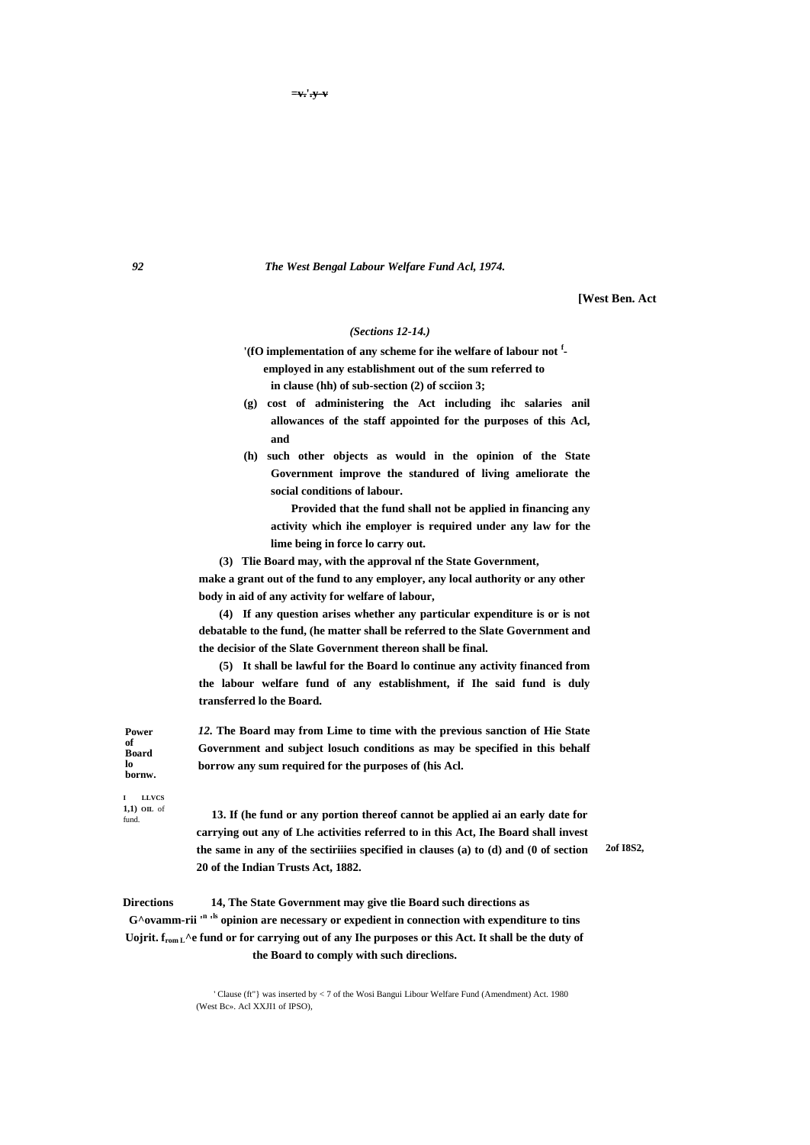*92 The West Bengal Labour Welfare Fund Acl, 1974.*

**[West Ben. Act**

#### *(Sections 12-14.)*

**'(fO implementation of any scheme for ihe welfare of labour not <sup>f</sup> employed in any establishment out of the sum referred to in clause (hh) of sub-section (2) of scciion 3;**

**(g) cost of administering the Act including ihc salaries anil allowances of the staff appointed for the purposes of this Acl, and**

**(h) such other objects as would in the opinion of the State Government improve the standured of living ameliorate the social conditions of labour.**

**Provided that the fund shall not be applied in financing any activity which ihe employer is required under any law for the lime being in force lo carry out.**

**(3) Tlie Board may, with the approval nf the State Government,**

**make a grant out of the fund to any employer, any local authority or any other body in aid of any activity for welfare of labour,**

**(4) If any question arises whether any particular expenditure is or is not debatable to the fund, (he matter shall be referred to the Slate Government and the decisior of the Slate Government thereon shall be final.**

**(5) It shall be lawful for the Board lo continue any activity financed from the labour welfare fund of any establishment, if Ihe said fund is duly transferred lo the Board.**

*12.* **The Board may from Lime to time with the previous sanction of Hie State Government and subject losuch conditions as may be specified in this behalf borrow any sum required for the purposes of (his Acl.**

**I LLVCS 1,1) OIL** of fund.

**Power of Board lo bornw.**

> **13. If (he fund or any portion thereof cannot be applied ai an early date for carrying out any of Lhe activities referred to in this Act, Ihe Board shall invest the same in any of the sectiriiies specified in clauses (a) to (d) and (0 of section 20 of the Indian Trusts Act, 1882.**

**2of I8S2,**

**Directions 14, The State Government may give tlie Board such directions as G^ovamm-rii '<sup>n</sup> ' ls opinion are necessary or expedient in connection with expenditure to tins Uojrit. from L^e fund or for carrying out of any Ihe purposes or this Act. It shall be the duty of the Board to comply with such direclions.**

> ' Clause (ft"} was inserted by < 7 of the Wosi Bangui Libour Welfare Fund (Amendment) Act. 1980 (West Bc». Acl XXJI1 of IPSO),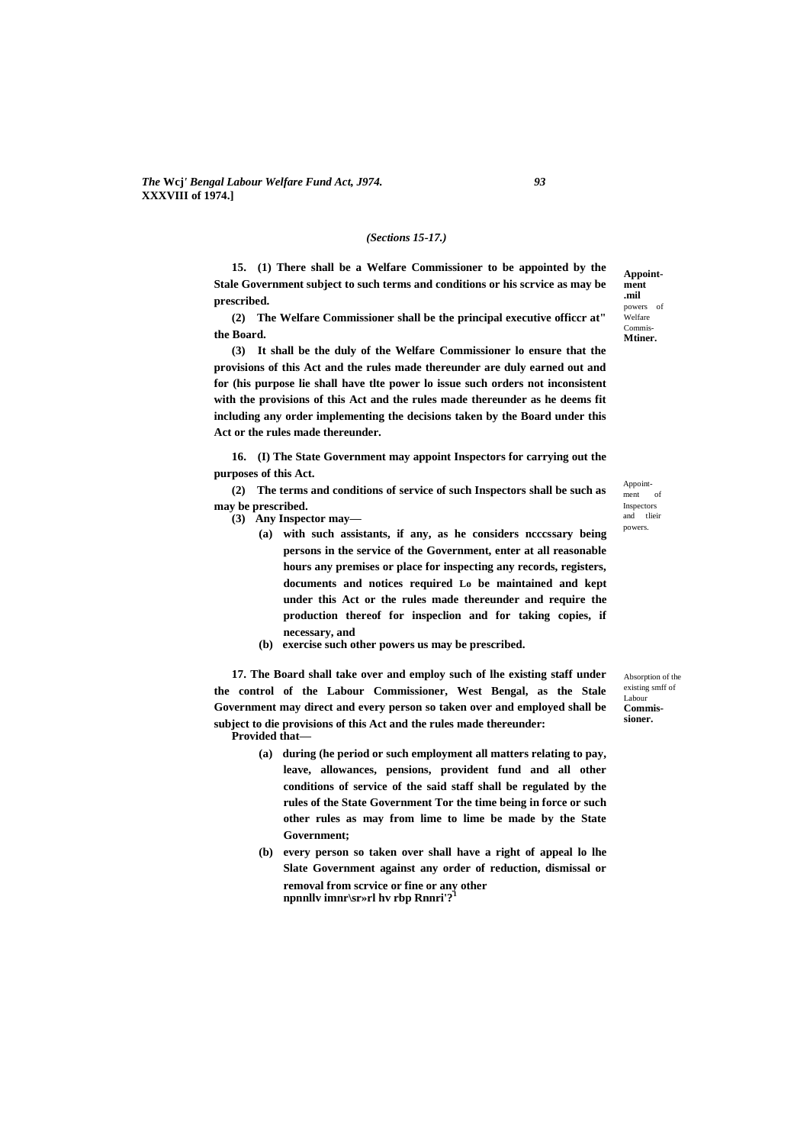#### *(Sections 15-17.)*

**15. (1) There shall be a Welfare Commissioner to be appointed by the Stale Government subject to such terms and conditions or his scrvice as may be prescribed.**

**(2) The Welfare Commissioner shall be the principal executive officcr at" the Board.**

**(3) It shall be the duly of the Welfare Commissioner lo ensure that the provisions of this Act and the rules made thereunder are duly earned out and for (his purpose lie shall have tlte power lo issue such orders not inconsistent with the provisions of this Act and the rules made thereunder as he deems fit including any order implementing the decisions taken by the Board under this Act or the rules made thereunder.**

**16. (I) The State Government may appoint Inspectors for carrying out the purposes of this Act.**

**(2) The terms and conditions of service of such Inspectors shall be such as may be prescribed.**

- **(3) Any Inspector may—**
	- **(a) with such assistants, if any, as he considers ncccssary being persons in the service of the Government, enter at all reasonable hours any premises or place for inspecting any records, registers, documents and notices required Lo be maintained and kept under this Act or the rules made thereunder and require the production thereof for inspeclion and for taking copies, if necessary, and**
	- **(b) exercise such other powers us may be prescribed.**

**17. The Board shall take over and employ such of lhe existing staff under the control of the Labour Commissioner, West Bengal, as the Stale Government may direct and every person so taken over and employed shall be subject to die provisions of this Act and the rules made thereunder:**

**Provided that—**

- **(a) during (he period or such employment all matters relating to pay, leave, allowances, pensions, provident fund and all other conditions of service of the said staff shall be regulated by the rules of the State Government Tor the time being in force or such other rules as may from lime to lime be made by the State Government;**
- **(b) every person so taken over shall have a right of appeal lo lhe Slate Government against any order of reduction, dismissal or removal from scrvice or fine or any other npnnllv imnr\sr»rl hv rbp Rnnri'?<sup>1</sup>**

Absorption of the existing smff of Labour **Commissioner.**

**Appointment .mil**  powers of .<br>Welfare Commis-**Mtiner.**

Appointment of Inspectors and tlieir powers.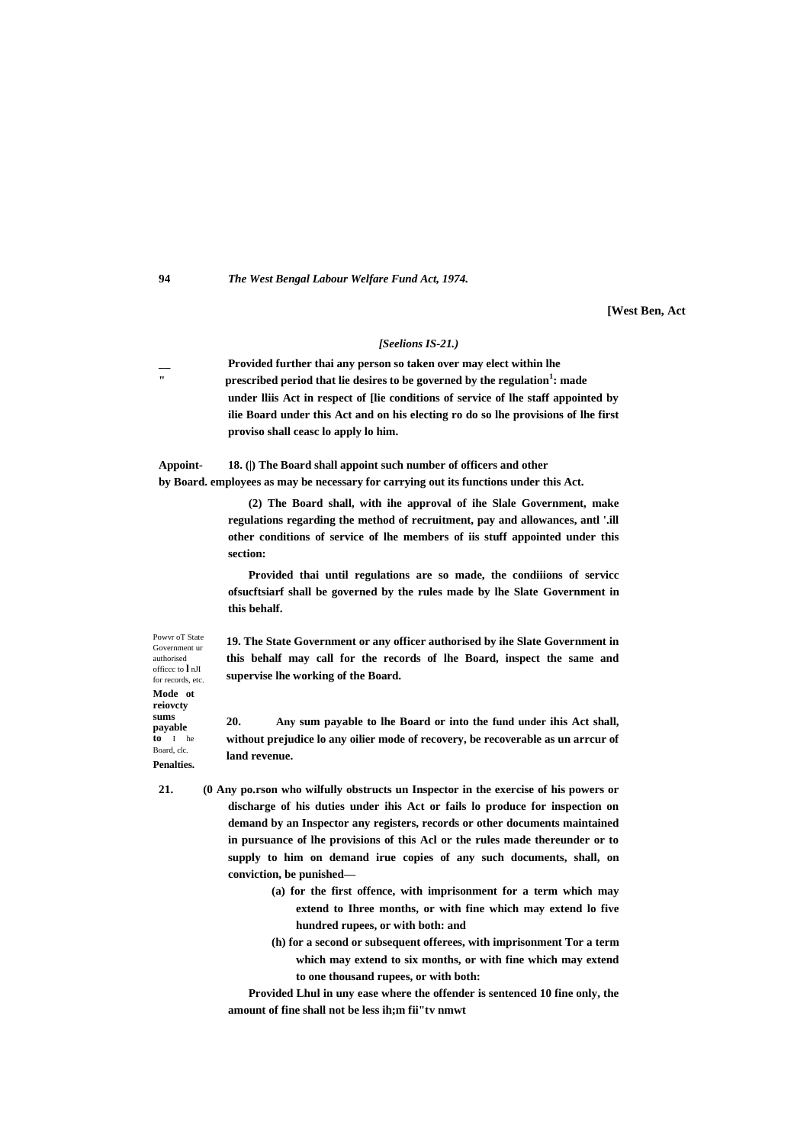#### **94** *The West Bengal Labour Welfare Fund Act, 1974.*

**[West Ben, Act**

#### *[Seelions IS-21.)*

**Provided further thai any person so taken over may elect within lhe**<br> **Provided ported that lie desires to be general by the perulation " prescribed period that lie desires to be governed by the regulation<sup>1</sup> : made under lliis Act in respect of [lie conditions of service of lhe staff appointed by ilie Board under this Act and on his electing ro do so lhe provisions of lhe first proviso shall ceasc lo apply lo him.**

**Appoint- 18. (|) The Board shall appoint such number of officers and other by Board. employees as may be necessary for carrying out its functions under this Act.**

> **(2) The Board shall, with ihe approval of ihe Slale Government, make regulations regarding the method of recruitment, pay and allowances, antl '.ill other conditions of service of lhe members of iis stuff appointed under this section:**

> **Provided thai until regulations are so made, the condiiions of servicc ofsucftsiarf shall be governed by the rules made by lhe Slate Government in this behalf.**

> **19. The State Government or any officer authorised by ihe Slate Government in this behalf may call for the records of lhe Board, inspect the same and supervise lhe working of the Board.**

> **20. Any sum payable to lhe Board or into the fund under ihis Act shall, without prejudice lo any oilier mode of recovery, be recoverable as un arrcur of land revenue.**

- **21. (0 Any po.rson who wilfully obstructs un Inspector in the exercise of his powers or discharge of his duties under ihis Act or fails lo produce for inspection on demand by an Inspector any registers, records or other documents maintained in pursuance of lhe provisions of this Acl or the rules made thereunder or to supply to him on demand irue copies of any such documents, shall, on conviction, be punished—**
	- **(a) for the first offence, with imprisonment for a term which may extend to Ihree months, or with fine which may extend lo five hundred rupees, or with both: and**
	- **(h) for a second or subsequent offerees, with imprisonment Tor a term which may extend to six months, or with fine which may extend to one thousand rupees, or with both:**

**Provided Lhul in uny ease where the offender is sentenced 10 fine only, the amount of fine shall not be less ih;m fii"tv nmwt**

Powvr oT State Government ur authorised officcc to **l** nJI for records, etc. **Mode ot reiovcty sums payable to** I he Board, clc. **Penalties.**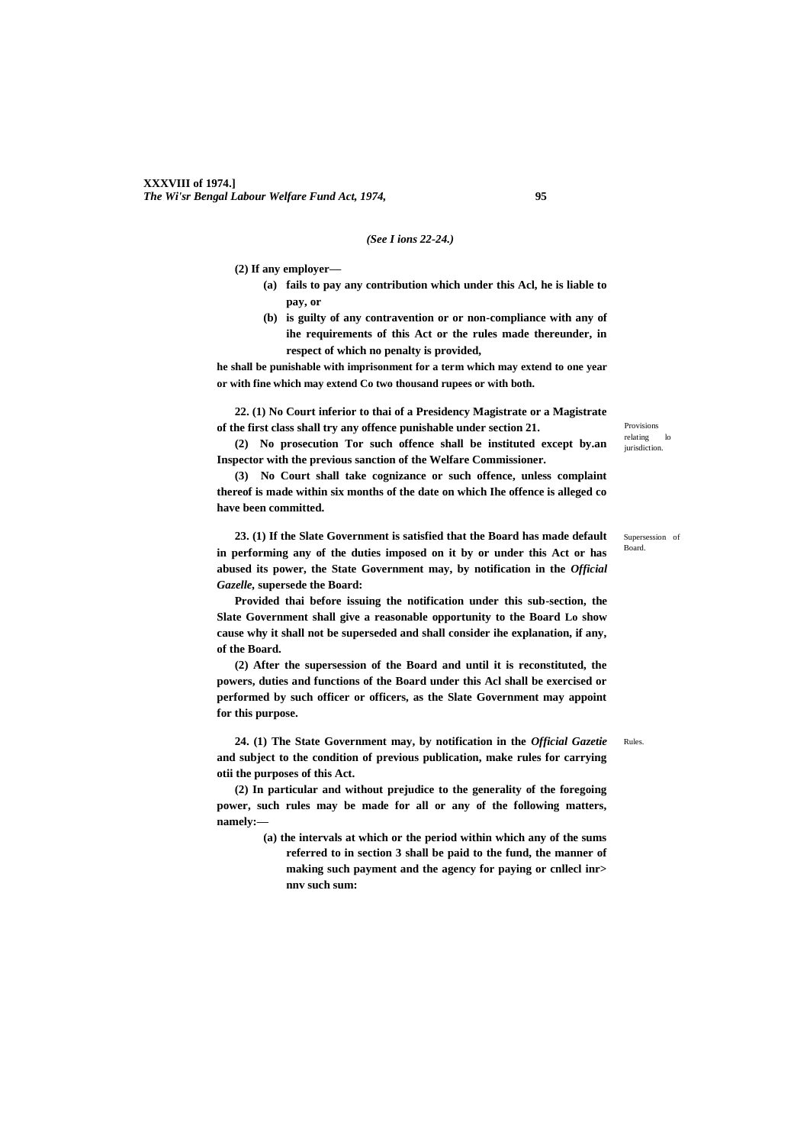#### *(See I ions 22-24.)*

**(2) If any employer—**

- **(a) fails to pay any contribution which under this Acl, he is liable to pay, or**
- **(b) is guilty of any contravention or or non-compliance with any of ihe requirements of this Act or the rules made thereunder, in respect of which no penalty is provided,**

**he shall be punishable with imprisonment for a term which may extend to one year or with fine which may extend Co two thousand rupees or with both.**

**22. (1) No Court inferior to thai of a Presidency Magistrate or a Magistrate of the first class shall try any offence punishable under section 21.**

Provisions relating lo jurisdiction. **(2) No prosecution Tor such offence shall be instituted except by.an Inspector with the previous sanction of the Welfare Commissioner.**

**(3) No Court shall take cognizance or such offence, unless complaint thereof is made within six months of the date on which Ihe offence is alleged co have been committed.**

**23. (1) If the Slate Government is satisfied that the Board has made default in performing any of the duties imposed on it by or under this Act or has abused its power, the State Government may, by notification in the** *Official Gazelle,* **supersede the Board:**

**Provided thai before issuing the notification under this sub-section, the Slate Government shall give a reasonable opportunity to the Board Lo show cause why it shall not be superseded and shall consider ihe explanation, if any, of the Board.**

**(2) After the supersession of the Board and until it is reconstituted, the powers, duties and functions of the Board under this Acl shall be exercised or performed by such officer or officers, as the Slate Government may appoint for this purpose.**

**24. (1) The State Government may, by notification in the** *Official Gazetie* **and subject to the condition of previous publication, make rules for carrying otii the purposes of this Act.**

**(2) In particular and without prejudice to the generality of the foregoing power, such rules may be made for all or any of the following matters, namely:—**

> **(a) the intervals at which or the period within which any of the sums referred to in section 3 shall be paid to the fund, the manner of making such payment and the agency for paying or cnllecl inr> nnv such sum:**

Supersession of Board.

Rules.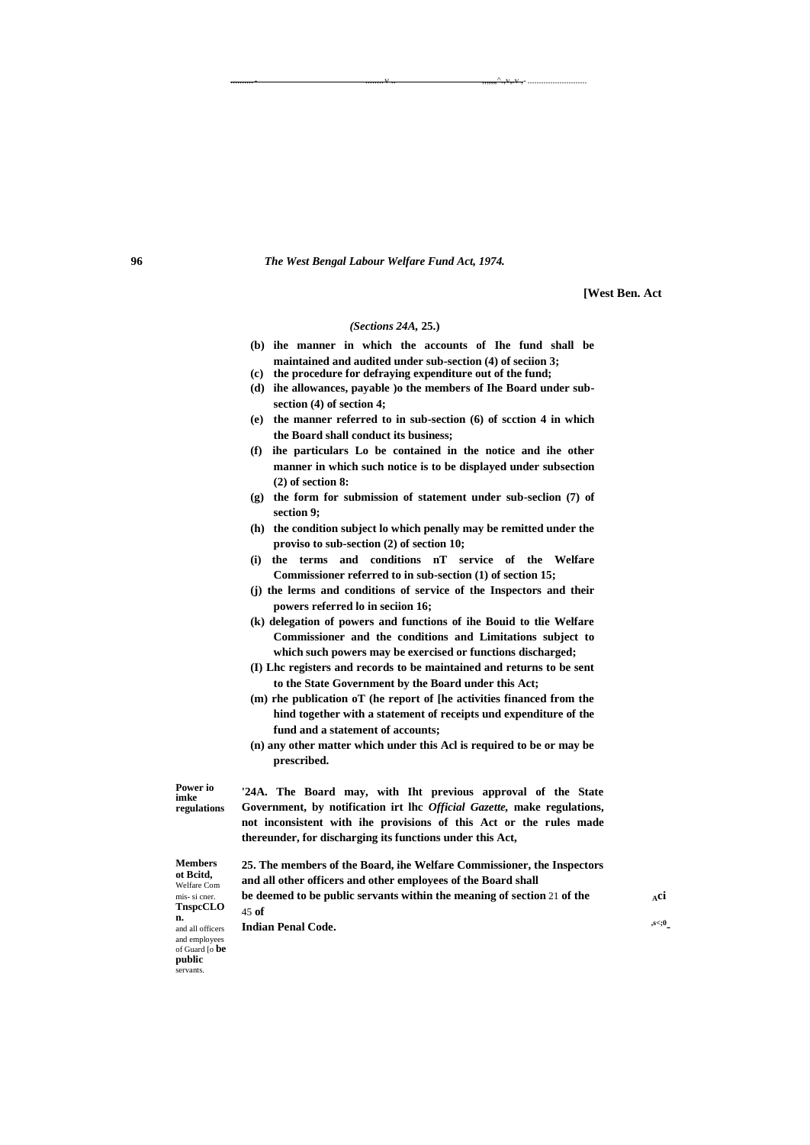**96** *The West Bengal Labour Welfare Fund Act, 1974.*

..........- ........v .. ,,,,",^.,v,.v ,-..........................

**[West Ben. Act**

#### *(Sections 24A,* **25.)**

- **(b) ihe manner in which the accounts of Ihe fund shall be maintained and audited under sub-section (4) of seciion 3;**
- **(c) the procedure for defraying expenditure out of the fund; (d) ihe allowances, payable )o the members of Ihe Board under sub-**
- **section (4) of section 4; (e) the manner referred to in sub-section (6) of scction 4 in which the Board shall conduct its business;**
- **(f) ihe particulars Lo be contained in the notice and ihe other manner in which such notice is to be displayed under subsection (2) of section 8:**
- **(g) the form for submission of statement under sub-seclion (7) of section 9;**
- **(h) the condition subject lo which penally may be remitted under the proviso to sub-section (2) of section 10;**
- **(i) the terms and conditions nT service of the Welfare Commissioner referred to in sub-section (1) of section 15;**
- **(j) the lerms and conditions of service of the Inspectors and their powers referred lo in seciion 16;**
- **(k) delegation of powers and functions of ihe Bouid to tlie Welfare Commissioner and the conditions and Limitations subject to which such powers may be exercised or functions discharged;**
- **(I) Lhc registers and records to be maintained and returns to be sent to the State Government by the Board under this Act;**
- **(m) rhe publication oT (he report of [he activities financed from the hind together with a statement of receipts und expenditure of the fund and a statement of accounts;**
- **(n) any other matter which under this Acl is required to be or may be prescribed.**

**Power io regulations '24A. The Board may, with Iht previous approval of the State Government, by notification irt lhc** *Official Gazette,* **make regulations, not inconsistent with ihe provisions of this Act or the rules made thereunder, for discharging its functions under this Act, 25. The members of the Board, ihe Welfare Commissioner, the Inspectors and all other officers and other employees of the Board shall**

**Members ot Bcitd,**  Welfare Com mis- si cner. **TnspcCLO n.** and all officers and employees of Guard [o **be public**  servants.

45 **of**

**Indian Penal Code.** 

**imke**

**be deemed to be public servants within the meaning of section 21 of the**  $\Delta$ **ci** 

**-**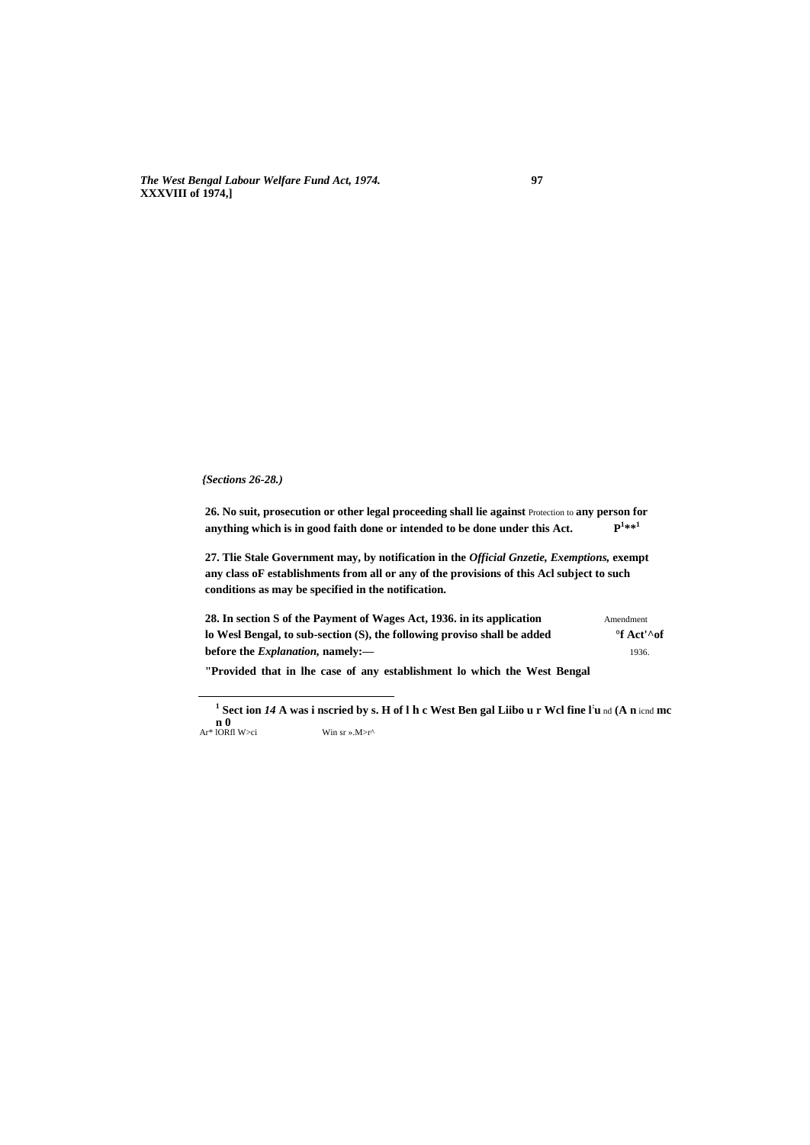*The West Bengal Labour Welfare Fund Act, 1974.* **97 XXXVIII of 1974,]**

#### *{Sections 26-28.)*

 $\overline{a}$ 

**26. No suit, prosecution or other legal proceeding shall lie against** Protection to **any person for anything which is in good faith done or intended to be done under this Act. P 1 \*\*<sup>1</sup>**

**27. Tlie Stale Government may, by notification in the** *Official Gnzetie, Exemptions,* **exempt any class oF establishments from all or any of the provisions of this Acl subject to such conditions as may be specified in the notification.**

**28. In section S of the Payment of Wages Act, 1936. in its application** Amendment **lo Wesl Bengal, to sub-section (S), the following proviso shall be added °f Act'^of before the** *Explanation*, **namely:** 1936.

**"Provided that in lhe case of any establishment lo which the West Bengal** 

**1 Sect ion** *14* **A was i nscried by s. H of l h c West Ben gal Liibo u r Wcl fine l: u** nd **(A n** icnd **mc n 0**<br>Ar<sup>\*</sup> lORfl W>ci Win sr ».M>r^